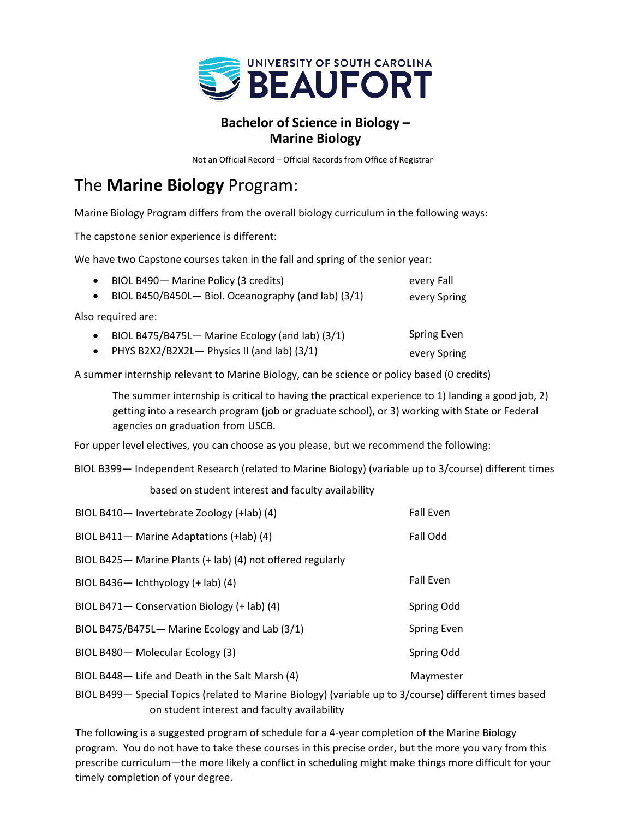

## **Bachelor of Science in Biology – Marine Biology**

Not an Official Record – Official Records from Office of Registrar

## The **Marine Biology** Program:

Marine Biology Program differs from the overall biology curriculum in the following ways:

The capstone senior experience is different:

We have two Capstone courses taken in the fall and spring of the senior year:

| BIOL B490- Marine Policy (3 credits)                | every Fall         |
|-----------------------------------------------------|--------------------|
| BIOL B450/B450L- Biol. Oceanography (and lab) (3/1) | every Spring       |
| Also required are:                                  |                    |
| BIOL B475/B475L- Marine Ecology (and lab) (3/1)     | <b>Spring Even</b> |
| • PHYS B2X2/B2X2L- Physics II (and lab) $(3/1)$     | every Spring       |

A summer internship relevant to Marine Biology, can be science or policy based (0 credits)

The summer internship is critical to having the practical experience to 1) landing a good job, 2) getting into a research program (job or graduate school), or 3) working with State or Federal agencies on graduation from USCB.

For upper level electives, you can choose as you please, but we recommend the following:

BIOL B399— Independent Research (related to Marine Biology) (variable up to 3/course) different times

based on student interest and faculty availability

| BIOL B410- Invertebrate Zoology (+lab) (4)                  | <b>Fall Even</b>   |
|-------------------------------------------------------------|--------------------|
| BIOL B411- Marine Adaptations (+lab) (4)                    | Fall Odd           |
| BIOL B425 - Marine Plants (+ lab) (4) not offered regularly |                    |
| BIOL B436- Ichthyology $(+$ lab) $(4)$                      | <b>Fall Even</b>   |
| BIOL B471 - Conservation Biology (+ lab) (4)                | Spring Odd         |
| BIOL B475/B475L- Marine Ecology and Lab (3/1)               | <b>Spring Even</b> |
| BIOL B480-Molecular Ecology (3)                             | Spring Odd         |
| BIOL B448-Life and Death in the Salt Marsh (4)              | Maymester          |

BIOL B499— Special Topics (related to Marine Biology) (variable up to 3/course) different times based on student interest and faculty availability

The following is a suggested program of schedule for a 4-year completion of the Marine Biology program. You do not have to take these courses in this precise order, but the more you vary from this prescribe curriculum—the more likely a conflict in scheduling might make things more difficult for your timely completion of your degree.